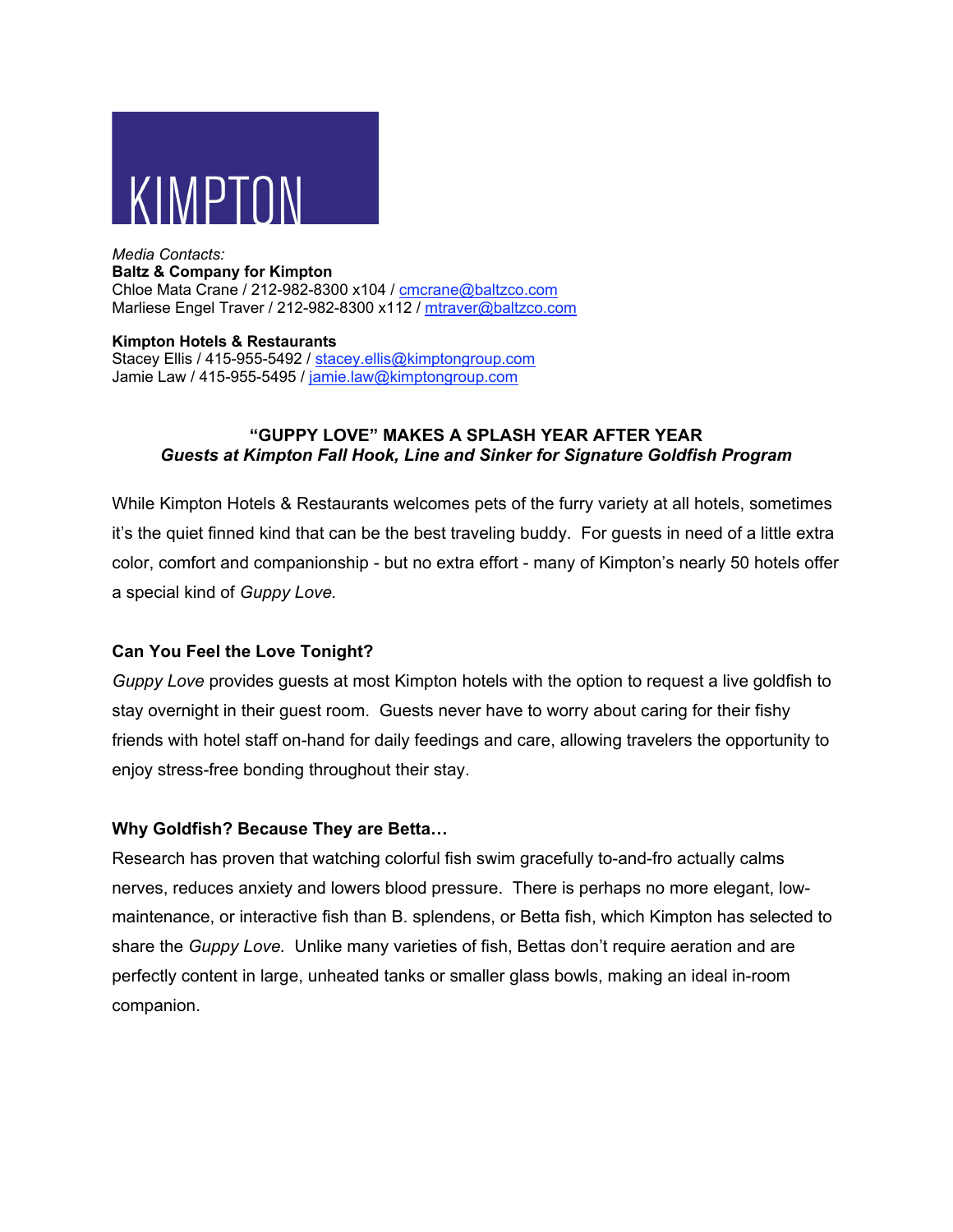

### *Media Contacts:* **Baltz & Company for Kimpton**

Chloe Mata Crane / 212-982-8300 x104 / cmcrane@baltzco.com Marliese Engel Traver / 212-982-8300 x112 / mtraver@baltzco.com

**Kimpton Hotels & Restaurants** Stacey Ellis / 415-955-5492 / stacey.ellis@kimptongroup.com Jamie Law / 415-955-5495 / jamie.law@kimptongroup.com

### **"GUPPY LOVE" MAKES A SPLASH YEAR AFTER YEAR** *Guests at Kimpton Fall Hook, Line and Sinker for Signature Goldfish Program*

While Kimpton Hotels & Restaurants welcomes pets of the furry variety at all hotels, sometimes it's the quiet finned kind that can be the best traveling buddy. For guests in need of a little extra color, comfort and companionship - but no extra effort - many of Kimpton's nearly 50 hotels offer a special kind of *Guppy Love.*

# **Can You Feel the Love Tonight?**

*Guppy Love* provides guests at most Kimpton hotels with the option to request a live goldfish to stay overnight in their guest room. Guests never have to worry about caring for their fishy friends with hotel staff on-hand for daily feedings and care, allowing travelers the opportunity to enjoy stress-free bonding throughout their stay.

# **Why Goldfish? Because They are Betta…**

Research has proven that watching colorful fish swim gracefully to-and-fro actually calms nerves, reduces anxiety and lowers blood pressure. There is perhaps no more elegant, lowmaintenance, or interactive fish than B. splendens, or Betta fish, which Kimpton has selected to share the *Guppy Love.* Unlike many varieties of fish, Bettas don't require aeration and are perfectly content in large, unheated tanks or smaller glass bowls, making an ideal in-room companion.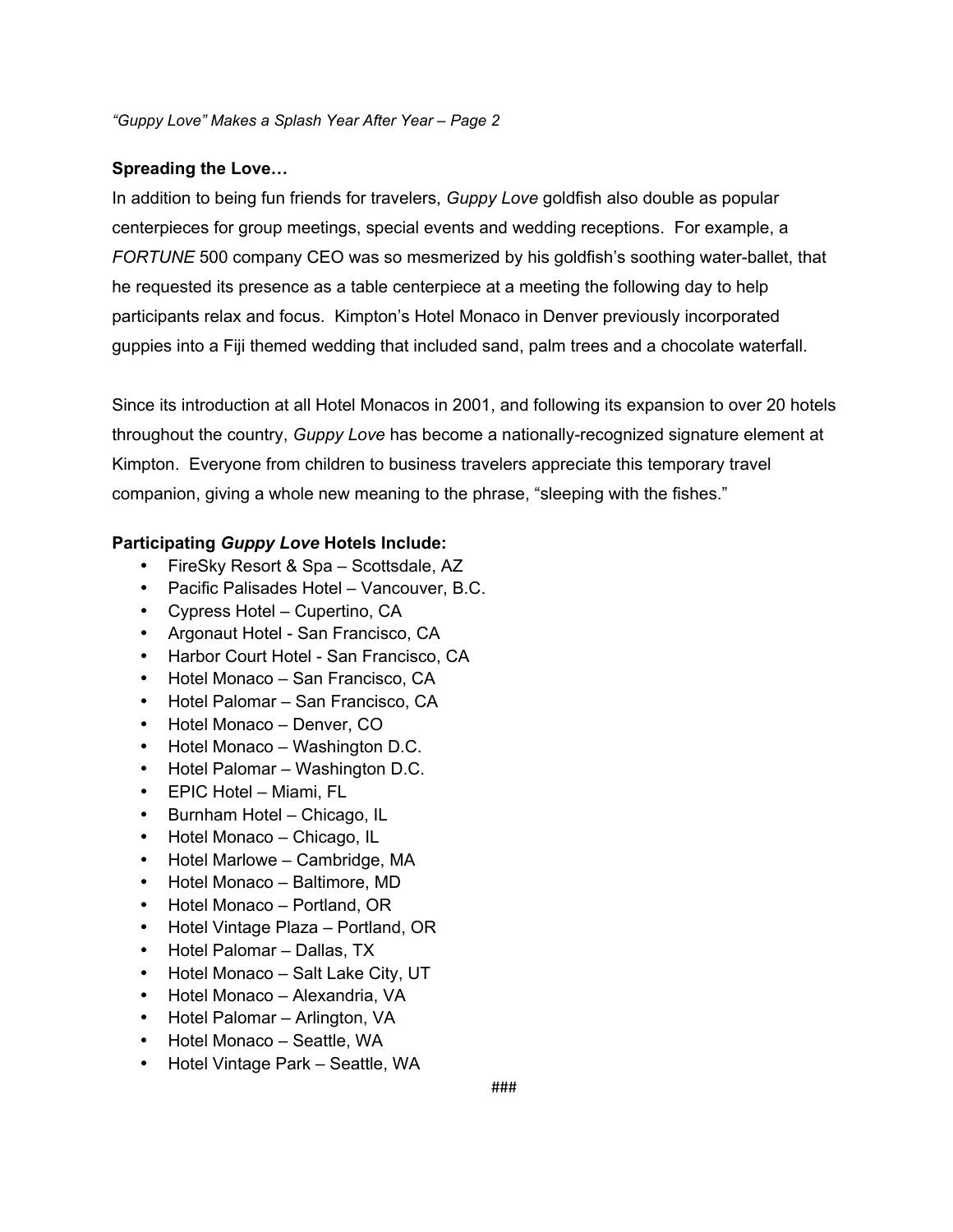#### **Spreading the Love…**

In addition to being fun friends for travelers, *Guppy Love* goldfish also double as popular centerpieces for group meetings, special events and wedding receptions. For example, a *FORTUNE* 500 company CEO was so mesmerized by his goldfish's soothing water-ballet, that he requested its presence as a table centerpiece at a meeting the following day to help participants relax and focus. Kimpton's Hotel Monaco in Denver previously incorporated guppies into a Fiji themed wedding that included sand, palm trees and a chocolate waterfall.

Since its introduction at all Hotel Monacos in 2001, and following its expansion to over 20 hotels throughout the country, *Guppy Love* has become a nationally-recognized signature element at Kimpton. Everyone from children to business travelers appreciate this temporary travel companion, giving a whole new meaning to the phrase, "sleeping with the fishes."

### **Participating** *Guppy Love* **Hotels Include:**

- FireSky Resort & Spa Scottsdale, AZ
- Pacific Palisades Hotel Vancouver, B.C.
- Cypress Hotel Cupertino, CA
- Argonaut Hotel San Francisco, CA
- Harbor Court Hotel San Francisco, CA
- Hotel Monaco San Francisco, CA
- Hotel Palomar San Francisco, CA
- Hotel Monaco Denver, CO
- Hotel Monaco Washington D.C.
- Hotel Palomar Washington D.C.
- EPIC Hotel Miami, FL
- Burnham Hotel Chicago, IL
- Hotel Monaco Chicago, IL
- Hotel Marlowe Cambridge, MA
- Hotel Monaco Baltimore, MD
- Hotel Monaco Portland, OR
- Hotel Vintage Plaza Portland, OR
- Hotel Palomar Dallas, TX
- Hotel Monaco Salt Lake City, UT
- Hotel Monaco Alexandria, VA
- Hotel Palomar Arlington, VA
- Hotel Monaco Seattle, WA
- Hotel Vintage Park Seattle, WA